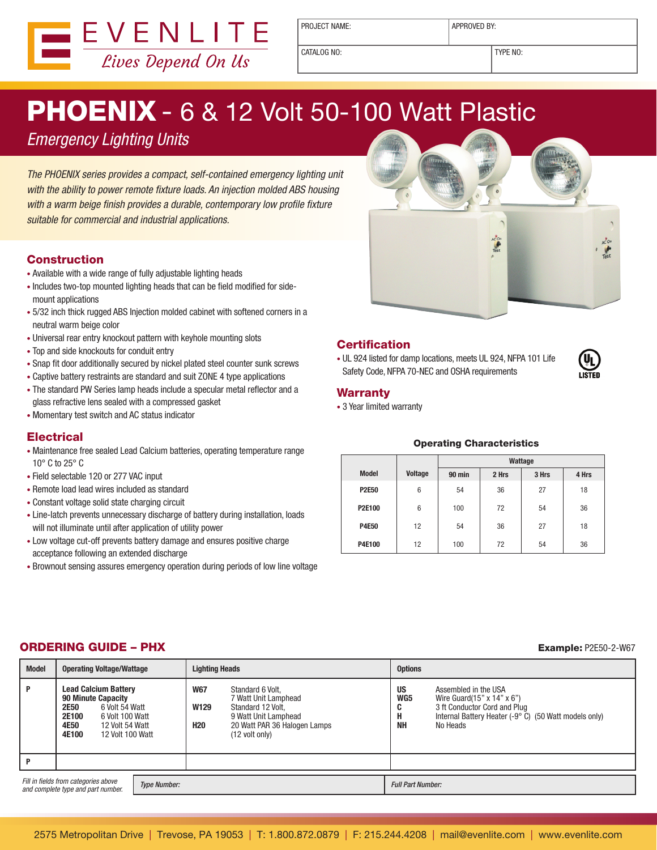

PROJECT NAME:  $\vert$  APPROVED BY:

CATALOG NO: TYPE NO:

# **PHOENIX - 6 & 12 Volt 50-100 Watt Plastic**

Emergency Lighting Units

The PHOENIX series provides a compact, self-contained emergency lighting unit with the ability to power remote fixture loads. An injection molded ABS housing with a warm beige finish provides a durable, contemporary low profile fixture suitable for commercial and industrial applications.

## Construction

- Available with a wide range of fully adjustable lighting heads
- Includes two-top mounted lighting heads that can be field modified for sidemount applications
- 5/32 inch thick rugged ABS Injection molded cabinet with softened corners in a neutral warm beige color
- Universal rear entry knockout pattern with keyhole mounting slots
- Top and side knockouts for conduit entry
- Snap fit door additionally secured by nickel plated steel counter sunk screws
- Captive battery restraints are standard and suit ZONE 4 type applications
- The standard PW Series lamp heads include a specular metal reflector and a glass refractive lens sealed with a compressed gasket
- • Momentary test switch and AC status indicator

# **Electrical**

- Maintenance free sealed Lead Calcium batteries, operating temperature range 10° C to 25° C
- Field selectable 120 or 277 VAC input
- • Remote load lead wires included as standard
- • Constant voltage solid state charging circuit
- Line-latch prevents unnecessary discharge of battery during installation, loads will not illuminate until after application of utility power
- Low voltage cut-off prevents battery damage and ensures positive charge acceptance following an extended discharge
- Brownout sensing assures emergency operation during periods of low line voltage



### **Certification**

• UL 924 listed for damp locations, meets UL 924, NFPA 101 Life Safety Code, NFPA 70-NEC and OSHA requirements



#### Warranty

• 3 Year limited warranty

#### Operating Characteristics

|              |                | Wattage |       |       |       |
|--------------|----------------|---------|-------|-------|-------|
| <b>Model</b> | <b>Voltage</b> | 90 min  | 2 Hrs | 3 Hrs | 4 Hrs |
| <b>P2E50</b> | 6              | 54      | 36    | 27    | 18    |
| P2E100       | 6              | 100     | 72    | 54    | 36    |
| <b>P4E50</b> | 12             | 54      | 36    | 27    | 18    |
| P4E100       | 12             | 100     | 72    | 54    | 36    |

# **ORDERING GUIDE – PHX** Example: P2E50-2-W67

| <b>Model</b>                                                                                      | <b>Operating Voltage/Wattage</b>                                                                                                                                       | <b>Lighting Heads</b>                                                                                                                                                       | <b>Options</b>                                                                                                                                                                                                   |  |
|---------------------------------------------------------------------------------------------------|------------------------------------------------------------------------------------------------------------------------------------------------------------------------|-----------------------------------------------------------------------------------------------------------------------------------------------------------------------------|------------------------------------------------------------------------------------------------------------------------------------------------------------------------------------------------------------------|--|
| P                                                                                                 | <b>Lead Calcium Battery</b><br>90 Minute Capacity<br><b>2E50</b><br>6 Volt 54 Watt<br>2E100<br>6 Volt 100 Watt<br>4E50<br>12 Volt 54 Watt<br>4E100<br>12 Volt 100 Watt | <b>W67</b><br>Standard 6 Volt,<br>7 Watt Unit Lamphead<br>W129<br>Standard 12 Volt.<br>9 Watt Unit Lamphead<br><b>H20</b><br>20 Watt PAR 36 Halogen Lamps<br>(12 volt only) | <b>US</b><br>Assembled in the USA<br>WG5<br>Wire Guard(15" $\times$ 14" $\times$ 6")<br>3 ft Conductor Cord and Plug<br>C<br>Н<br>Internal Battery Heater (-9° C) (50 Watt models only)<br><b>NH</b><br>No Heads |  |
| Þ                                                                                                 |                                                                                                                                                                        |                                                                                                                                                                             |                                                                                                                                                                                                                  |  |
| Fill in fields from categories above<br><b>Type Number:</b><br>and complete type and part number. |                                                                                                                                                                        |                                                                                                                                                                             | <b>Full Part Number:</b>                                                                                                                                                                                         |  |